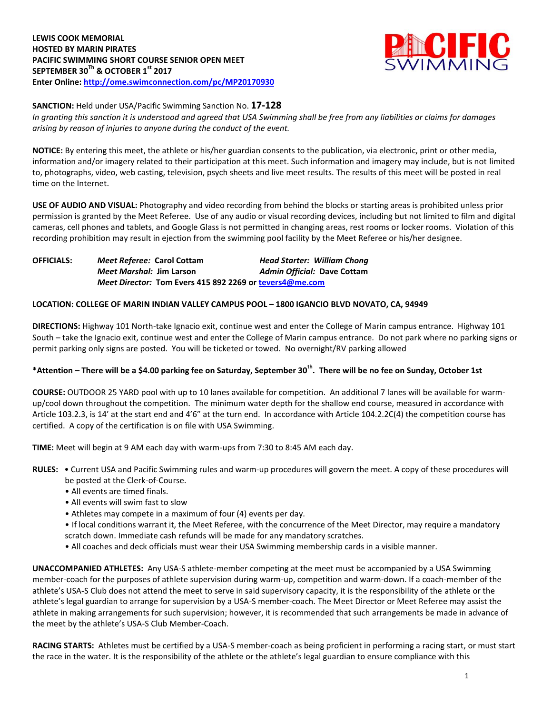**LEWIS COOK MEMORIAL HOSTED BY MARIN PIRATES PACIFIC SWIMMING SHORT COURSE SENIOR OPEN MEET SEPTEMBER 30Th & OCTOBER 1st 2017 Enter Online: <http://ome.swimconnection.com/pc/MP20170930>**



**SANCTION:** Held under USA/Pacific Swimming Sanction No. **17-128**

*In granting this sanction it is understood and agreed that USA Swimming shall be free from any liabilities or claims for damages arising by reason of injuries to anyone during the conduct of the event.*

**NOTICE:** By entering this meet, the athlete or his/her guardian consents to the publication, via electronic, print or other media, information and/or imagery related to their participation at this meet. Such information and imagery may include, but is not limited to, photographs, video, web casting, television, psych sheets and live meet results. The results of this meet will be posted in real time on the Internet.

**USE OF AUDIO AND VISUAL:** Photography and video recording from behind the blocks or starting areas is prohibited unless prior permission is granted by the Meet Referee. Use of any audio or visual recording devices, including but not limited to film and digital cameras, cell phones and tablets, and Google Glass is not permitted in changing areas, rest rooms or locker rooms. Violation of this recording prohibition may result in ejection from the swimming pool facility by the Meet Referee or his/her designee.

**OFFICIALS:** *Meet Referee:* **Carol Cottam** *Head Starter: William Chong Meet Marshal:* **Jim Larson** *Admin Official:* **Dave Cottam** *Meet Director:* **Tom Evers 415 892 2269 or [tevers4@me.com](mailto:tevers4@me.com)**

### **LOCATION: COLLEGE OF MARIN INDIAN VALLEY CAMPUS POOL – 1800 IGANCIO BLVD NOVATO, CA, 94949**

**DIRECTIONS:** Highway 101 North-take Ignacio exit, continue west and enter the College of Marin campus entrance. Highway 101 South – take the Ignacio exit, continue west and enter the College of Marin campus entrance. Do not park where no parking signs or permit parking only signs are posted. You will be ticketed or towed. No overnight/RV parking allowed

# **\*Attention – There will be a \$4.00 parking fee on Saturday, September 30th. There will be no fee on Sunday, October 1st**

**COURSE:** OUTDOOR 25 YARD pool with up to 10 lanes available for competition. An additional 7 lanes will be available for warmup/cool down throughout the competition. The minimum water depth for the shallow end course, measured in accordance with Article 103.2.3, is 14' at the start end and 4'6" at the turn end. In accordance with Article 104.2.2C(4) the competition course has certified. A copy of the certification is on file with USA Swimming.

**TIME:** Meet will begin at 9 AM each day with warm-ups from 7:30 to 8:45 AM each day.

- **RULES:** Current USA and Pacific Swimming rules and warm-up procedures will govern the meet. A copy of these procedures will be posted at the Clerk-of-Course.
	- All events are timed finals.
	- All events will swim fast to slow
	- Athletes may compete in a maximum of four (4) events per day.
	- If local conditions warrant it, the Meet Referee, with the concurrence of the Meet Director, may require a mandatory scratch down. Immediate cash refunds will be made for any mandatory scratches.
	- All coaches and deck officials must wear their USA Swimming membership cards in a visible manner.

**UNACCOMPANIED ATHLETES:** Any USA-S athlete-member competing at the meet must be accompanied by a USA Swimming member-coach for the purposes of athlete supervision during warm-up, competition and warm-down. If a coach-member of the athlete's USA-S Club does not attend the meet to serve in said supervisory capacity, it is the responsibility of the athlete or the athlete's legal guardian to arrange for supervision by a USA-S member-coach. The Meet Director or Meet Referee may assist the athlete in making arrangements for such supervision; however, it is recommended that such arrangements be made in advance of the meet by the athlete's USA-S Club Member-Coach.

**RACING STARTS:** Athletes must be certified by a USA-S member-coach as being proficient in performing a racing start, or must start the race in the water. It is the responsibility of the athlete or the athlete's legal guardian to ensure compliance with this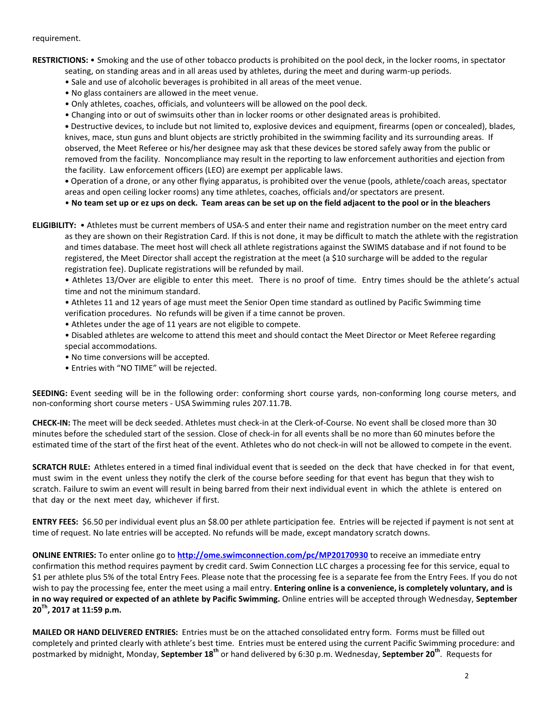#### requirement.

**RESTRICTIONS:** • Smoking and the use of other tobacco products is prohibited on the pool deck, in the locker rooms, in spectator

- seating, on standing areas and in all areas used by athletes, during the meet and during warm-up periods.
- Sale and use of alcoholic beverages is prohibited in all areas of the meet venue.
- No glass containers are allowed in the meet venue.
- Only athletes, coaches, officials, and volunteers will be allowed on the pool deck.
- Changing into or out of swimsuits other than in locker rooms or other designated areas is prohibited.

**•** Destructive devices, to include but not limited to, explosive devices and equipment, firearms (open or concealed), blades, knives, mace, stun guns and blunt objects are strictly prohibited in the swimming facility and its surrounding areas. If observed, the Meet Referee or his/her designee may ask that these devices be stored safely away from the public or removed from the facility. Noncompliance may result in the reporting to law enforcement authorities and ejection from the facility. Law enforcement officers (LEO) are exempt per applicable laws.

**•** Operation of a drone, or any other flying apparatus, is prohibited over the venue (pools, athlete/coach areas, spectator areas and open ceiling locker rooms) any time athletes, coaches, officials and/or spectators are present.

• **No team set up or ez ups on deck. Team areas can be set up on the field adjacent to the pool or in the bleachers** 

**ELIGIBILITY:** • Athletes must be current members of USA-S and enter their name and registration number on the meet entry card as they are shown on their Registration Card. If this is not done, it may be difficult to match the athlete with the registration and times database. The meet host will check all athlete registrations against the SWIMS database and if not found to be registered, the Meet Director shall accept the registration at the meet (a \$10 surcharge will be added to the regular registration fee). Duplicate registrations will be refunded by mail.

• Athletes 13/Over are eligible to enter this meet. There is no proof of time. Entry times should be the athlete's actual time and not the minimum standard.

• Athletes 11 and 12 years of age must meet the Senior Open time standard as outlined by Pacific Swimming time verification procedures. No refunds will be given if a time cannot be proven.

• Athletes under the age of 11 years are not eligible to compete.

• Disabled athletes are welcome to attend this meet and should contact the Meet Director or Meet Referee regarding special accommodations.

- No time conversions will be accepted.
- Entries with "NO TIME" will be rejected.

**SEEDING:** Event seeding will be in the following order: conforming short course yards, non-conforming long course meters, and non-conforming short course meters - USA Swimming rules 207.11.7B.

**CHECK-IN:** The meet will be deck seeded. Athletes must check-in at the Clerk-of-Course. No event shall be closed more than 30 minutes before the scheduled start of the session. Close of check‐in for all events shall be no more than 60 minutes before the estimated time of the start of the first heat of the event. Athletes who do not check-in will not be allowed to compete in the event.

**SCRATCH RULE:** Athletes entered in a timed final individual event that is seeded on the deck that have checked in for that event, must swim in the event unless they notify the clerk of the course before seeding for that event has begun that they wish to scratch. Failure to swim an event will result in being barred from their next individual event in which the athlete is entered on that day or the next meet day, whichever if first.

**ENTRY FEES:** \$6.50 per individual event plus an \$8.00 per athlete participation fee. Entries will be rejected if payment is not sent at time of request. No late entries will be accepted. No refunds will be made, except mandatory scratch downs.

**ONLINE ENTRIES:** To enter online go to **<http://ome.swimconnection.com/pc/MP20170930>** to receive an immediate entry confirmation this method requires payment by credit card. Swim Connection LLC charges a processing fee for this service, equal to \$1 per athlete plus 5% of the total Entry Fees. Please note that the processing fee is a separate fee from the Entry Fees. If you do not wish to pay the processing fee, enter the meet using a mail entry. **Entering online is a convenience, is completely voluntary, and is in no way required or expected of an athlete by Pacific Swimming.** Online entries will be accepted through Wednesday, **September 20Th, 2017 at 11:59 p.m.**

**MAILED OR HAND DELIVERED ENTRIES:** Entries must be on the attached consolidated entry form. Forms must be filled out completely and printed clearly with athlete's best time. Entries must be entered using the current Pacific Swimming procedure: and postmarked by midnight, Monday, **September 18th** or hand delivered by 6:30 p.m. Wednesday, **September 20th** . Requests for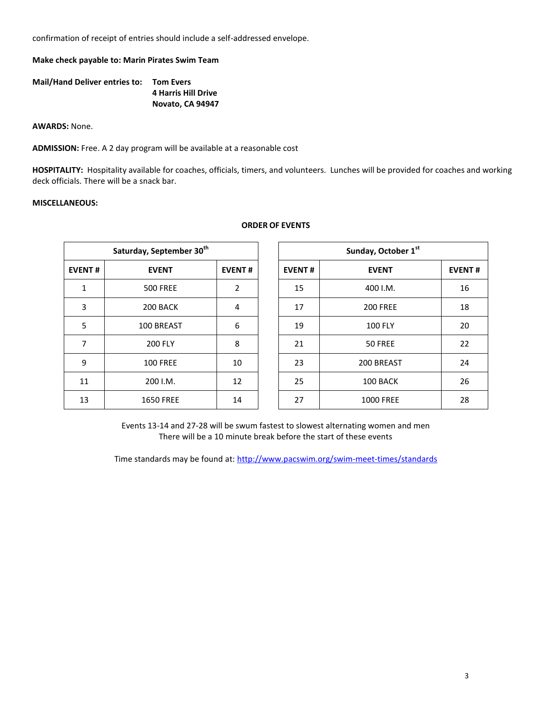confirmation of receipt of entries should include a self-addressed envelope.

**Make check payable to: Marin Pirates Swim Team**

| <b>Mail/Hand Deliver entries to:</b> | <b>Tom Evers</b>           |
|--------------------------------------|----------------------------|
|                                      | <b>4 Harris Hill Drive</b> |
|                                      | Novato, CA 94947           |

**AWARDS:** None.

**ADMISSION:** Free. A 2 day program will be available at a reasonable cost

**HOSPITALITY:** Hospitality available for coaches, officials, timers, and volunteers. Lunches will be provided for coaches and working deck officials. There will be a snack bar.

## **MISCELLANEOUS:**

|               | Saturday, September 30 <sup>th</sup> | Sunday, October 1st |               |                  |  |
|---------------|--------------------------------------|---------------------|---------------|------------------|--|
| <b>EVENT#</b> | <b>EVENT</b>                         | <b>EVENT#</b>       | <b>EVENT#</b> | <b>EVENT</b>     |  |
| $\mathbf{1}$  | <b>500 FREE</b>                      | 2                   | 15            | 400 I.M.         |  |
| 3             | 200 BACK                             | 4                   | 17            | <b>200 FREE</b>  |  |
| 5             | 100 BREAST                           | 6                   | 19            | <b>100 FLY</b>   |  |
| 7             | <b>200 FLY</b>                       | 8                   | 21            | 50 FREE          |  |
| 9             | <b>100 FREE</b>                      | 10                  | 23            | 200 BREAST       |  |
| 11            | 200 I.M.                             | 12                  | 25            | 100 BACK         |  |
| 13            | <b>1650 FREE</b>                     | 14                  | 27            | <b>1000 FREE</b> |  |

## **ORDER OF EVENTS**

| Sunday, October 1st |                  |               |  |  |  |  |  |  |
|---------------------|------------------|---------------|--|--|--|--|--|--|
| <b>EVENT#</b>       | <b>EVENT</b>     | <b>EVENT#</b> |  |  |  |  |  |  |
| 15                  | 400 I.M.         | 16            |  |  |  |  |  |  |
| 17                  | <b>200 FREE</b>  | 18            |  |  |  |  |  |  |
| 19                  | <b>100 FLY</b>   | 20            |  |  |  |  |  |  |
| 21                  | 50 FREE          | 22            |  |  |  |  |  |  |
| 23                  | 200 BREAST       | 24            |  |  |  |  |  |  |
| 25                  | 100 BACK         | 26            |  |  |  |  |  |  |
| 27                  | <b>1000 FREE</b> | 28            |  |  |  |  |  |  |

Events 13-14 and 27-28 will be swum fastest to slowest alternating women and men There will be a 10 minute break before the start of these events

Time standards may be found at: <http://www.pacswim.org/swim-meet-times/standards>